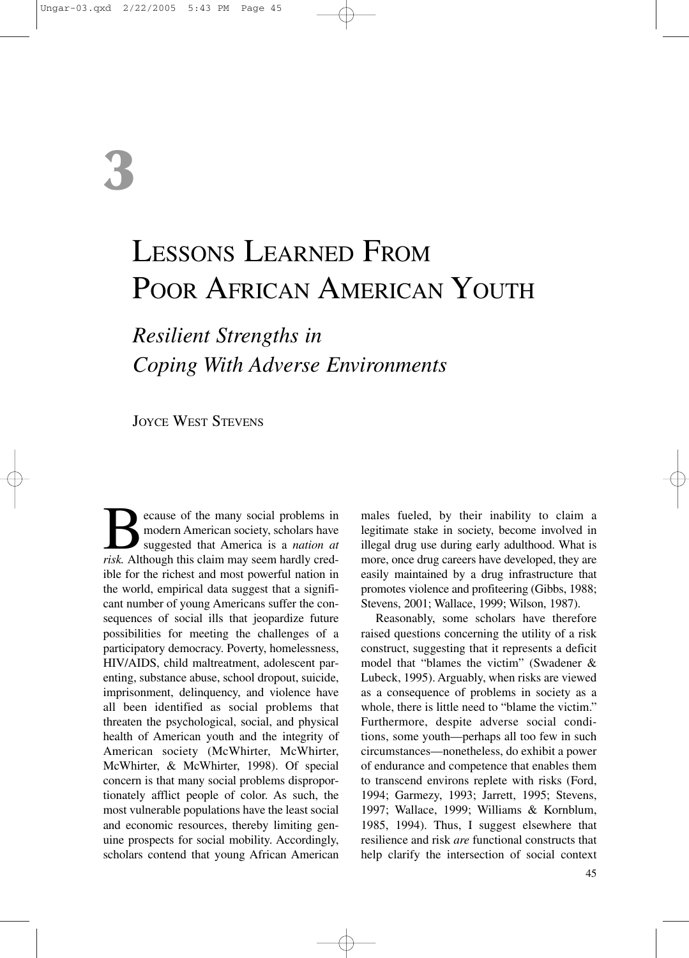# **3**

## LESSONS LEARNED FROM POOR AFRICAN AMERICAN YOUTH

### *Resilient Strengths in Coping With Adverse Environments*

JOYCE WEST STEVENS

Because of the many social problems in<br>modern American society, scholars have<br>suggested that America is a *nation at*<br>risk. Although this claim may seem hardly credmodern American society, scholars have suggested that America is a *nation at risk.* Although this claim may seem hardly credible for the richest and most powerful nation in the world, empirical data suggest that a significant number of young Americans suffer the consequences of social ills that jeopardize future possibilities for meeting the challenges of a participatory democracy. Poverty, homelessness, HIV/AIDS, child maltreatment, adolescent parenting, substance abuse, school dropout, suicide, imprisonment, delinquency, and violence have all been identified as social problems that threaten the psychological, social, and physical health of American youth and the integrity of American society (McWhirter, McWhirter, McWhirter, & McWhirter, 1998). Of special concern is that many social problems disproportionately afflict people of color. As such, the most vulnerable populations have the least social and economic resources, thereby limiting genuine prospects for social mobility. Accordingly, scholars contend that young African American

males fueled, by their inability to claim a legitimate stake in society, become involved in illegal drug use during early adulthood. What is more, once drug careers have developed, they are easily maintained by a drug infrastructure that promotes violence and profiteering (Gibbs, 1988; Stevens, 2001; Wallace, 1999; Wilson, 1987).

Reasonably, some scholars have therefore raised questions concerning the utility of a risk construct, suggesting that it represents a deficit model that "blames the victim" (Swadener & Lubeck, 1995). Arguably, when risks are viewed as a consequence of problems in society as a whole, there is little need to "blame the victim." Furthermore, despite adverse social conditions, some youth—perhaps all too few in such circumstances—nonetheless, do exhibit a power of endurance and competence that enables them to transcend environs replete with risks (Ford, 1994; Garmezy, 1993; Jarrett, 1995; Stevens, 1997; Wallace, 1999; Williams & Kornblum, 1985, 1994). Thus, I suggest elsewhere that resilience and risk *are* functional constructs that help clarify the intersection of social context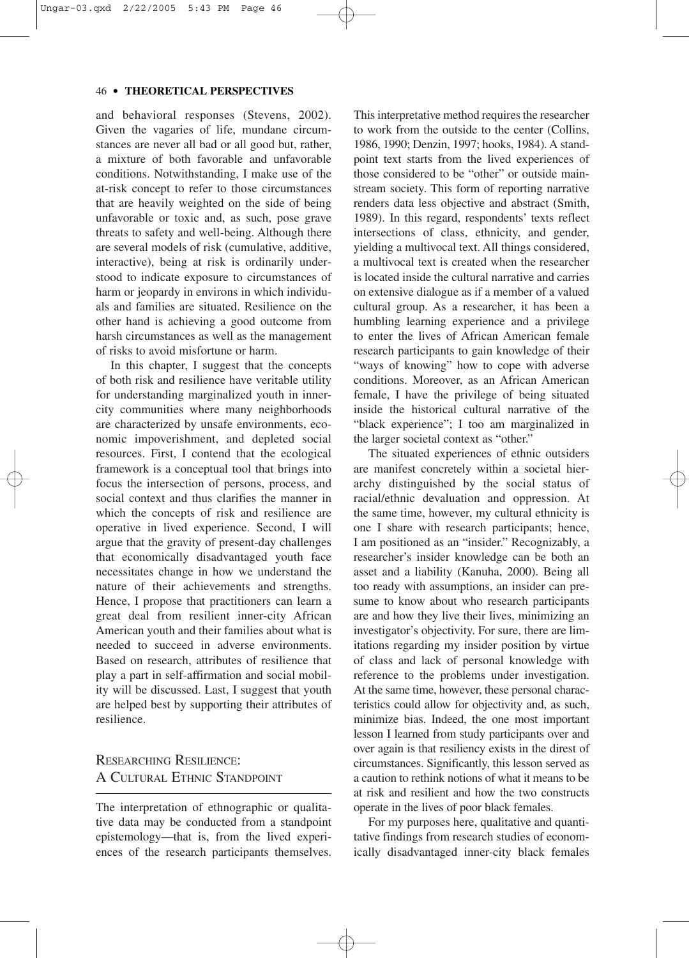and behavioral responses (Stevens, 2002). Given the vagaries of life, mundane circumstances are never all bad or all good but, rather, a mixture of both favorable and unfavorable conditions. Notwithstanding, I make use of the at-risk concept to refer to those circumstances that are heavily weighted on the side of being unfavorable or toxic and, as such, pose grave threats to safety and well-being. Although there are several models of risk (cumulative, additive, interactive), being at risk is ordinarily understood to indicate exposure to circumstances of harm or jeopardy in environs in which individuals and families are situated. Resilience on the other hand is achieving a good outcome from harsh circumstances as well as the management of risks to avoid misfortune or harm.

In this chapter, I suggest that the concepts of both risk and resilience have veritable utility for understanding marginalized youth in innercity communities where many neighborhoods are characterized by unsafe environments, economic impoverishment, and depleted social resources. First, I contend that the ecological framework is a conceptual tool that brings into focus the intersection of persons, process, and social context and thus clarifies the manner in which the concepts of risk and resilience are operative in lived experience. Second, I will argue that the gravity of present-day challenges that economically disadvantaged youth face necessitates change in how we understand the nature of their achievements and strengths. Hence, I propose that practitioners can learn a great deal from resilient inner-city African American youth and their families about what is needed to succeed in adverse environments. Based on research, attributes of resilience that play a part in self-affirmation and social mobility will be discussed. Last, I suggest that youth are helped best by supporting their attributes of resilience.

RESEARCHING RESILIENCE: A CULTURAL ETHNIC STANDPOINT

The interpretation of ethnographic or qualitative data may be conducted from a standpoint epistemology—that is, from the lived experiences of the research participants themselves.

This interpretative method requires the researcher to work from the outside to the center (Collins, 1986, 1990; Denzin, 1997; hooks, 1984). A standpoint text starts from the lived experiences of those considered to be "other" or outside mainstream society. This form of reporting narrative renders data less objective and abstract (Smith, 1989). In this regard, respondents' texts reflect intersections of class, ethnicity, and gender, yielding a multivocal text. All things considered, a multivocal text is created when the researcher is located inside the cultural narrative and carries on extensive dialogue as if a member of a valued cultural group. As a researcher, it has been a humbling learning experience and a privilege to enter the lives of African American female research participants to gain knowledge of their "ways of knowing" how to cope with adverse conditions. Moreover, as an African American female, I have the privilege of being situated inside the historical cultural narrative of the "black experience"; I too am marginalized in the larger societal context as "other."

The situated experiences of ethnic outsiders are manifest concretely within a societal hierarchy distinguished by the social status of racial/ethnic devaluation and oppression. At the same time, however, my cultural ethnicity is one I share with research participants; hence, I am positioned as an "insider." Recognizably, a researcher's insider knowledge can be both an asset and a liability (Kanuha, 2000). Being all too ready with assumptions, an insider can presume to know about who research participants are and how they live their lives, minimizing an investigator's objectivity. For sure, there are limitations regarding my insider position by virtue of class and lack of personal knowledge with reference to the problems under investigation. At the same time, however, these personal characteristics could allow for objectivity and, as such, minimize bias. Indeed, the one most important lesson I learned from study participants over and over again is that resiliency exists in the direst of circumstances. Significantly, this lesson served as a caution to rethink notions of what it means to be at risk and resilient and how the two constructs operate in the lives of poor black females.

For my purposes here, qualitative and quantitative findings from research studies of economically disadvantaged inner-city black females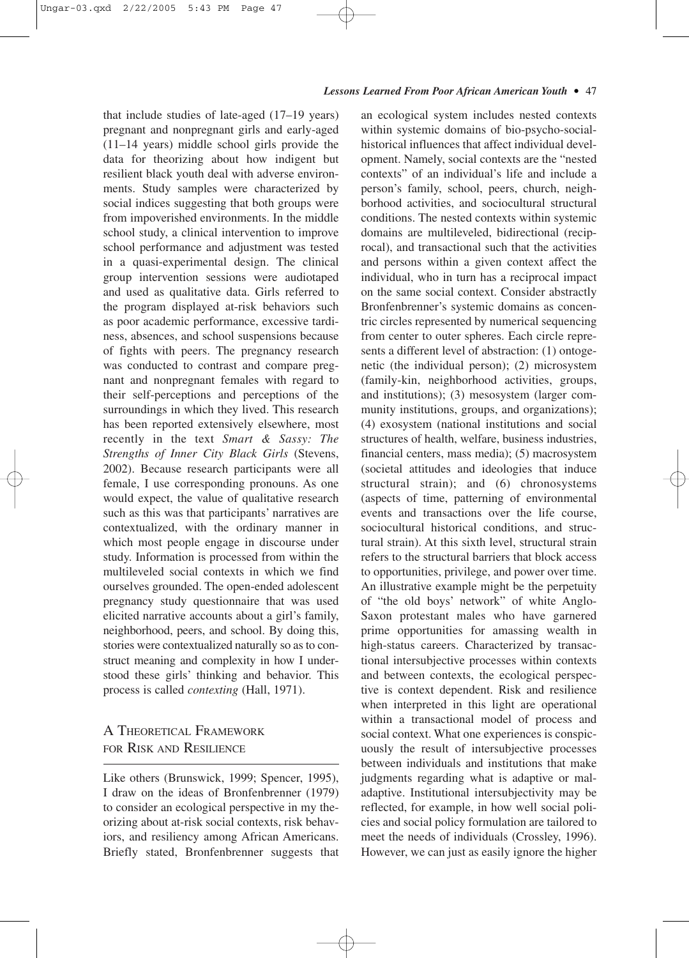that include studies of late-aged (17–19 years) pregnant and nonpregnant girls and early-aged (11–14 years) middle school girls provide the data for theorizing about how indigent but resilient black youth deal with adverse environments. Study samples were characterized by social indices suggesting that both groups were from impoverished environments. In the middle school study, a clinical intervention to improve school performance and adjustment was tested in a quasi-experimental design. The clinical group intervention sessions were audiotaped and used as qualitative data. Girls referred to the program displayed at-risk behaviors such as poor academic performance, excessive tardiness, absences, and school suspensions because of fights with peers. The pregnancy research was conducted to contrast and compare pregnant and nonpregnant females with regard to their self-perceptions and perceptions of the surroundings in which they lived. This research has been reported extensively elsewhere, most recently in the text *Smart & Sassy: The Strengths of Inner City Black Girls* (Stevens, 2002). Because research participants were all female, I use corresponding pronouns. As one would expect, the value of qualitative research such as this was that participants' narratives are contextualized, with the ordinary manner in which most people engage in discourse under study. Information is processed from within the multileveled social contexts in which we find ourselves grounded. The open-ended adolescent pregnancy study questionnaire that was used elicited narrative accounts about a girl's family, neighborhood, peers, and school. By doing this, stories were contextualized naturally so as to construct meaning and complexity in how I understood these girls' thinking and behavior. This process is called *contexting* (Hall, 1971).

#### A THEORETICAL FRAMEWORK FOR RISK AND RESILIENCE

Like others (Brunswick, 1999; Spencer, 1995), I draw on the ideas of Bronfenbrenner (1979) to consider an ecological perspective in my theorizing about at-risk social contexts, risk behaviors, and resiliency among African Americans. Briefly stated, Bronfenbrenner suggests that an ecological system includes nested contexts within systemic domains of bio-psycho-socialhistorical influences that affect individual development. Namely, social contexts are the "nested contexts" of an individual's life and include a person's family, school, peers, church, neighborhood activities, and sociocultural structural conditions. The nested contexts within systemic domains are multileveled, bidirectional (reciprocal), and transactional such that the activities and persons within a given context affect the individual, who in turn has a reciprocal impact on the same social context. Consider abstractly Bronfenbrenner's systemic domains as concentric circles represented by numerical sequencing from center to outer spheres. Each circle represents a different level of abstraction: (1) ontogenetic (the individual person); (2) microsystem (family-kin, neighborhood activities, groups, and institutions); (3) mesosystem (larger community institutions, groups, and organizations); (4) exosystem (national institutions and social structures of health, welfare, business industries, financial centers, mass media); (5) macrosystem (societal attitudes and ideologies that induce structural strain); and (6) chronosystems (aspects of time, patterning of environmental events and transactions over the life course, sociocultural historical conditions, and structural strain). At this sixth level, structural strain refers to the structural barriers that block access to opportunities, privilege, and power over time. An illustrative example might be the perpetuity of "the old boys' network" of white Anglo-Saxon protestant males who have garnered prime opportunities for amassing wealth in high-status careers. Characterized by transactional intersubjective processes within contexts and between contexts, the ecological perspective is context dependent. Risk and resilience when interpreted in this light are operational within a transactional model of process and social context. What one experiences is conspicuously the result of intersubjective processes between individuals and institutions that make judgments regarding what is adaptive or maladaptive. Institutional intersubjectivity may be reflected, for example, in how well social policies and social policy formulation are tailored to meet the needs of individuals (Crossley, 1996). However, we can just as easily ignore the higher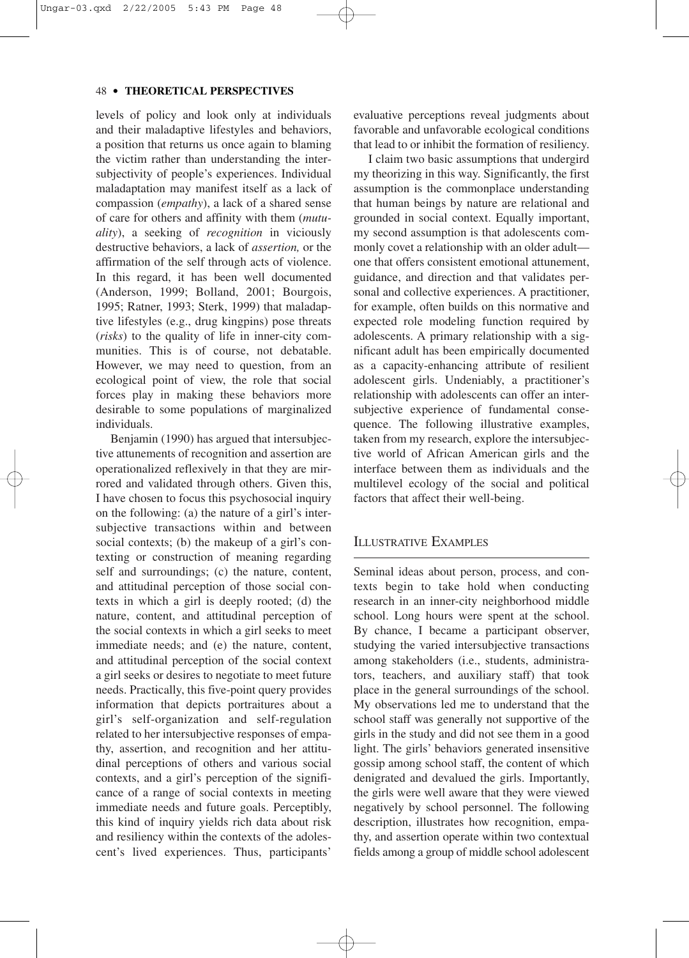levels of policy and look only at individuals and their maladaptive lifestyles and behaviors, a position that returns us once again to blaming the victim rather than understanding the intersubjectivity of people's experiences. Individual maladaptation may manifest itself as a lack of compassion (*empathy*), a lack of a shared sense of care for others and affinity with them (*mutuality*), a seeking of *recognition* in viciously destructive behaviors, a lack of *assertion,* or the affirmation of the self through acts of violence. In this regard, it has been well documented (Anderson, 1999; Bolland, 2001; Bourgois, 1995; Ratner, 1993; Sterk, 1999) that maladaptive lifestyles (e.g., drug kingpins) pose threats (*risks*) to the quality of life in inner-city communities. This is of course, not debatable. However, we may need to question, from an ecological point of view, the role that social forces play in making these behaviors more desirable to some populations of marginalized individuals.

Benjamin (1990) has argued that intersubjective attunements of recognition and assertion are operationalized reflexively in that they are mirrored and validated through others. Given this, I have chosen to focus this psychosocial inquiry on the following: (a) the nature of a girl's intersubjective transactions within and between social contexts; (b) the makeup of a girl's contexting or construction of meaning regarding self and surroundings; (c) the nature, content, and attitudinal perception of those social contexts in which a girl is deeply rooted; (d) the nature, content, and attitudinal perception of the social contexts in which a girl seeks to meet immediate needs; and (e) the nature, content, and attitudinal perception of the social context a girl seeks or desires to negotiate to meet future needs. Practically, this five-point query provides information that depicts portraitures about a girl's self-organization and self-regulation related to her intersubjective responses of empathy, assertion, and recognition and her attitudinal perceptions of others and various social contexts, and a girl's perception of the significance of a range of social contexts in meeting immediate needs and future goals. Perceptibly, this kind of inquiry yields rich data about risk and resiliency within the contexts of the adolescent's lived experiences. Thus, participants'

evaluative perceptions reveal judgments about favorable and unfavorable ecological conditions that lead to or inhibit the formation of resiliency.

I claim two basic assumptions that undergird my theorizing in this way. Significantly, the first assumption is the commonplace understanding that human beings by nature are relational and grounded in social context. Equally important, my second assumption is that adolescents commonly covet a relationship with an older adult one that offers consistent emotional attunement, guidance, and direction and that validates personal and collective experiences. A practitioner, for example, often builds on this normative and expected role modeling function required by adolescents. A primary relationship with a significant adult has been empirically documented as a capacity-enhancing attribute of resilient adolescent girls. Undeniably, a practitioner's relationship with adolescents can offer an intersubjective experience of fundamental consequence. The following illustrative examples, taken from my research, explore the intersubjective world of African American girls and the interface between them as individuals and the multilevel ecology of the social and political factors that affect their well-being.

#### ILLUSTRATIVE EXAMPLES

Seminal ideas about person, process, and contexts begin to take hold when conducting research in an inner-city neighborhood middle school. Long hours were spent at the school. By chance, I became a participant observer, studying the varied intersubjective transactions among stakeholders (i.e., students, administrators, teachers, and auxiliary staff) that took place in the general surroundings of the school. My observations led me to understand that the school staff was generally not supportive of the girls in the study and did not see them in a good light. The girls' behaviors generated insensitive gossip among school staff, the content of which denigrated and devalued the girls. Importantly, the girls were well aware that they were viewed negatively by school personnel. The following description, illustrates how recognition, empathy, and assertion operate within two contextual fields among a group of middle school adolescent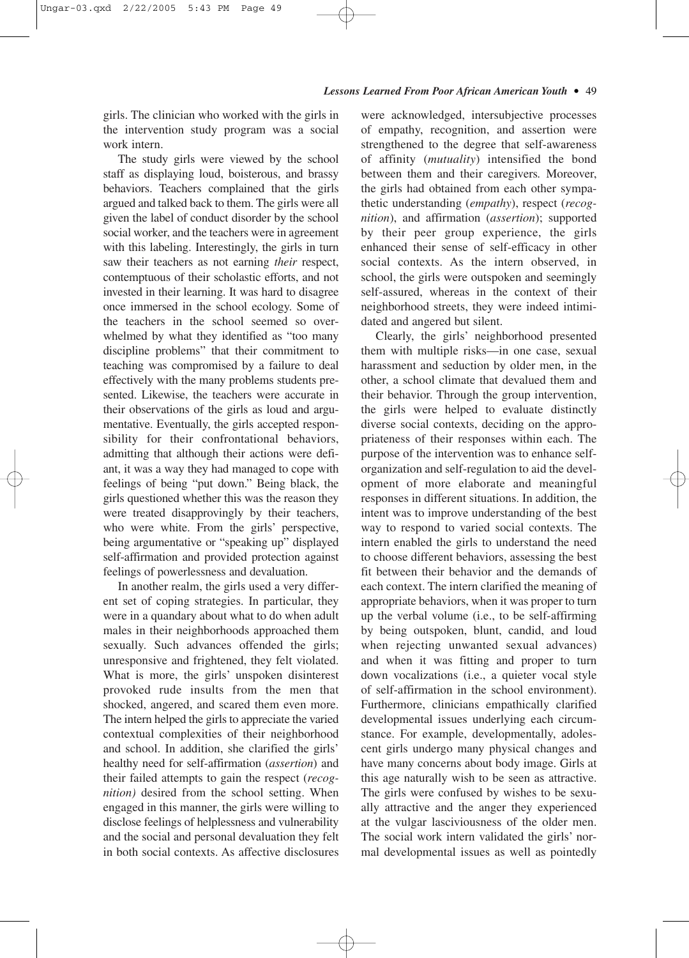girls. The clinician who worked with the girls in the intervention study program was a social work intern.

The study girls were viewed by the school staff as displaying loud, boisterous, and brassy behaviors. Teachers complained that the girls argued and talked back to them. The girls were all given the label of conduct disorder by the school social worker, and the teachers were in agreement with this labeling. Interestingly, the girls in turn saw their teachers as not earning *their* respect, contemptuous of their scholastic efforts, and not invested in their learning. It was hard to disagree once immersed in the school ecology. Some of the teachers in the school seemed so overwhelmed by what they identified as "too many discipline problems" that their commitment to teaching was compromised by a failure to deal effectively with the many problems students presented. Likewise, the teachers were accurate in their observations of the girls as loud and argumentative. Eventually, the girls accepted responsibility for their confrontational behaviors, admitting that although their actions were defiant, it was a way they had managed to cope with feelings of being "put down." Being black, the girls questioned whether this was the reason they were treated disapprovingly by their teachers, who were white. From the girls' perspective, being argumentative or "speaking up" displayed self-affirmation and provided protection against feelings of powerlessness and devaluation.

In another realm, the girls used a very different set of coping strategies. In particular, they were in a quandary about what to do when adult males in their neighborhoods approached them sexually. Such advances offended the girls; unresponsive and frightened, they felt violated. What is more, the girls' unspoken disinterest provoked rude insults from the men that shocked, angered, and scared them even more. The intern helped the girls to appreciate the varied contextual complexities of their neighborhood and school. In addition, she clarified the girls' healthy need for self-affirmation (*assertion*) and their failed attempts to gain the respect (*recognition)* desired from the school setting. When engaged in this manner, the girls were willing to disclose feelings of helplessness and vulnerability and the social and personal devaluation they felt in both social contexts. As affective disclosures

were acknowledged, intersubjective processes of empathy, recognition, and assertion were strengthened to the degree that self-awareness of affinity (*mutuality*) intensified the bond between them and their caregivers*.* Moreover, the girls had obtained from each other sympathetic understanding (*empathy*), respect (*recognition*), and affirmation (*assertion*); supported by their peer group experience, the girls enhanced their sense of self-efficacy in other social contexts. As the intern observed, in school, the girls were outspoken and seemingly self-assured, whereas in the context of their neighborhood streets, they were indeed intimidated and angered but silent.

Clearly, the girls' neighborhood presented them with multiple risks—in one case, sexual harassment and seduction by older men, in the other, a school climate that devalued them and their behavior. Through the group intervention, the girls were helped to evaluate distinctly diverse social contexts, deciding on the appropriateness of their responses within each. The purpose of the intervention was to enhance selforganization and self-regulation to aid the development of more elaborate and meaningful responses in different situations. In addition, the intent was to improve understanding of the best way to respond to varied social contexts. The intern enabled the girls to understand the need to choose different behaviors, assessing the best fit between their behavior and the demands of each context. The intern clarified the meaning of appropriate behaviors, when it was proper to turn up the verbal volume (i.e., to be self-affirming by being outspoken, blunt, candid, and loud when rejecting unwanted sexual advances) and when it was fitting and proper to turn down vocalizations (i.e., a quieter vocal style of self-affirmation in the school environment). Furthermore, clinicians empathically clarified developmental issues underlying each circumstance. For example, developmentally, adolescent girls undergo many physical changes and have many concerns about body image. Girls at this age naturally wish to be seen as attractive. The girls were confused by wishes to be sexually attractive and the anger they experienced at the vulgar lasciviousness of the older men. The social work intern validated the girls' normal developmental issues as well as pointedly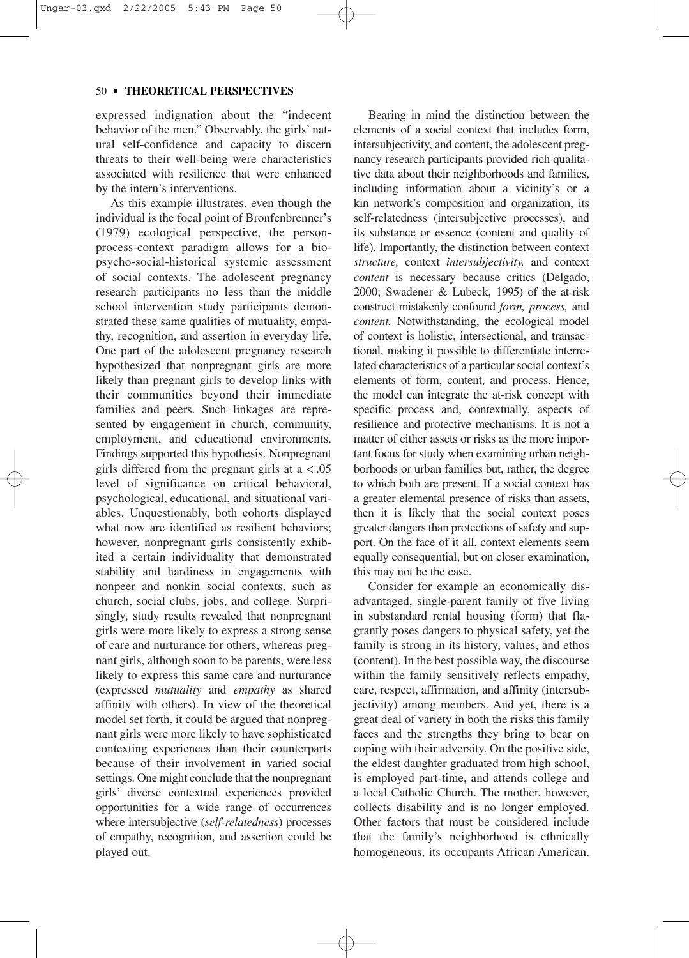expressed indignation about the "indecent behavior of the men." Observably, the girls' natural self-confidence and capacity to discern threats to their well-being were characteristics associated with resilience that were enhanced by the intern's interventions.

As this example illustrates, even though the individual is the focal point of Bronfenbrenner's (1979) ecological perspective, the personprocess-context paradigm allows for a biopsycho-social-historical systemic assessment of social contexts. The adolescent pregnancy research participants no less than the middle school intervention study participants demonstrated these same qualities of mutuality, empathy, recognition, and assertion in everyday life. One part of the adolescent pregnancy research hypothesized that nonpregnant girls are more likely than pregnant girls to develop links with their communities beyond their immediate families and peers. Such linkages are represented by engagement in church, community, employment, and educational environments. Findings supported this hypothesis. Nonpregnant girls differed from the pregnant girls at  $a < .05$ level of significance on critical behavioral, psychological, educational, and situational variables. Unquestionably, both cohorts displayed what now are identified as resilient behaviors; however, nonpregnant girls consistently exhibited a certain individuality that demonstrated stability and hardiness in engagements with nonpeer and nonkin social contexts, such as church, social clubs, jobs, and college. Surprisingly, study results revealed that nonpregnant girls were more likely to express a strong sense of care and nurturance for others, whereas pregnant girls, although soon to be parents, were less likely to express this same care and nurturance (expressed *mutuality* and *empathy* as shared affinity with others). In view of the theoretical model set forth, it could be argued that nonpregnant girls were more likely to have sophisticated contexting experiences than their counterparts because of their involvement in varied social settings. One might conclude that the nonpregnant girls' diverse contextual experiences provided opportunities for a wide range of occurrences where intersubjective (*self-relatedness*) processes of empathy, recognition, and assertion could be played out.

Bearing in mind the distinction between the elements of a social context that includes form, intersubjectivity, and content, the adolescent pregnancy research participants provided rich qualitative data about their neighborhoods and families, including information about a vicinity's or a kin network's composition and organization, its self-relatedness (intersubjective processes), and its substance or essence (content and quality of life). Importantly, the distinction between context *structure,* context *intersubjectivity,* and context *content* is necessary because critics (Delgado, 2000; Swadener & Lubeck, 1995) of the at-risk construct mistakenly confound *form, process,* and *content.* Notwithstanding, the ecological model of context is holistic, intersectional, and transactional, making it possible to differentiate interrelated characteristics of a particular social context's elements of form, content, and process. Hence, the model can integrate the at-risk concept with specific process and, contextually, aspects of resilience and protective mechanisms. It is not a matter of either assets or risks as the more important focus for study when examining urban neighborhoods or urban families but, rather, the degree to which both are present. If a social context has a greater elemental presence of risks than assets, then it is likely that the social context poses greater dangers than protections of safety and support. On the face of it all, context elements seem equally consequential, but on closer examination, this may not be the case.

Consider for example an economically disadvantaged, single-parent family of five living in substandard rental housing (form) that flagrantly poses dangers to physical safety, yet the family is strong in its history, values, and ethos (content). In the best possible way, the discourse within the family sensitively reflects empathy, care, respect, affirmation, and affinity (intersubjectivity) among members. And yet, there is a great deal of variety in both the risks this family faces and the strengths they bring to bear on coping with their adversity. On the positive side, the eldest daughter graduated from high school, is employed part-time, and attends college and a local Catholic Church. The mother, however, collects disability and is no longer employed. Other factors that must be considered include that the family's neighborhood is ethnically homogeneous, its occupants African American.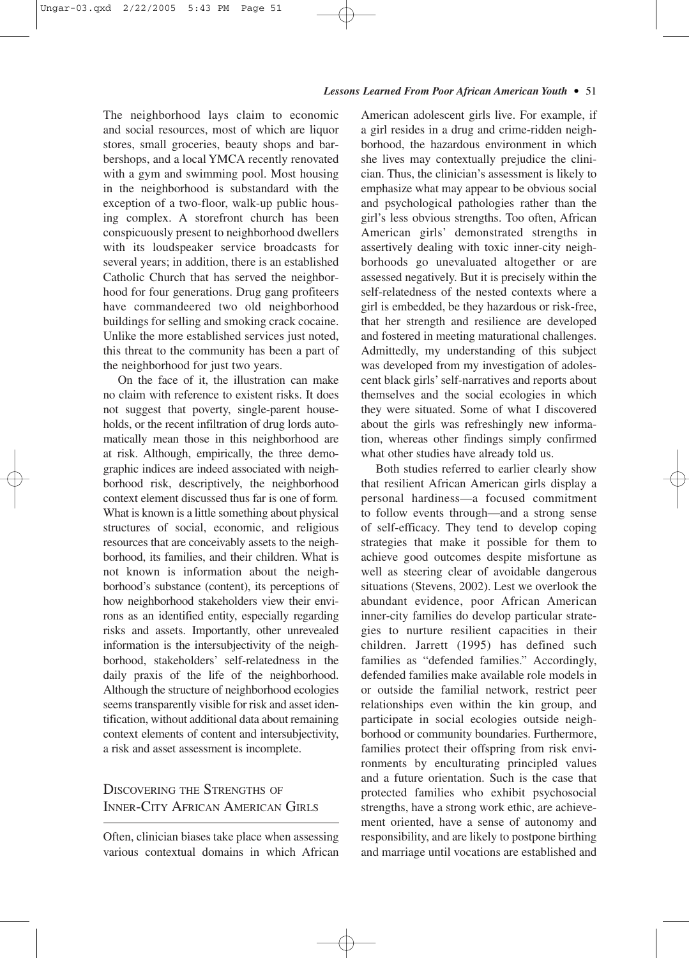The neighborhood lays claim to economic and social resources, most of which are liquor stores, small groceries, beauty shops and barbershops, and a local YMCA recently renovated with a gym and swimming pool. Most housing in the neighborhood is substandard with the exception of a two-floor, walk-up public housing complex. A storefront church has been conspicuously present to neighborhood dwellers with its loudspeaker service broadcasts for several years; in addition, there is an established Catholic Church that has served the neighborhood for four generations. Drug gang profiteers have commandeered two old neighborhood buildings for selling and smoking crack cocaine. Unlike the more established services just noted, this threat to the community has been a part of the neighborhood for just two years.

On the face of it, the illustration can make no claim with reference to existent risks. It does not suggest that poverty, single-parent households, or the recent infiltration of drug lords automatically mean those in this neighborhood are at risk. Although, empirically, the three demographic indices are indeed associated with neighborhood risk, descriptively, the neighborhood context element discussed thus far is one of form*.* What is known is a little something about physical structures of social, economic, and religious resources that are conceivably assets to the neighborhood, its families, and their children. What is not known is information about the neighborhood's substance (content), its perceptions of how neighborhood stakeholders view their environs as an identified entity, especially regarding risks and assets. Importantly, other unrevealed information is the intersubjectivity of the neighborhood, stakeholders' self-relatedness in the daily praxis of the life of the neighborhood. Although the structure of neighborhood ecologies seems transparently visible for risk and asset identification, without additional data about remaining context elements of content and intersubjectivity, a risk and asset assessment is incomplete.

#### DISCOVERING THE STRENGTHS OF INNER-CITY AFRICAN AMERICAN GIRLS

Often, clinician biases take place when assessing various contextual domains in which African American adolescent girls live. For example, if a girl resides in a drug and crime-ridden neighborhood, the hazardous environment in which she lives may contextually prejudice the clinician. Thus, the clinician's assessment is likely to emphasize what may appear to be obvious social and psychological pathologies rather than the girl's less obvious strengths. Too often, African American girls' demonstrated strengths in assertively dealing with toxic inner-city neighborhoods go unevaluated altogether or are assessed negatively. But it is precisely within the self-relatedness of the nested contexts where a girl is embedded, be they hazardous or risk-free, that her strength and resilience are developed and fostered in meeting maturational challenges. Admittedly, my understanding of this subject was developed from my investigation of adolescent black girls' self-narratives and reports about themselves and the social ecologies in which they were situated. Some of what I discovered about the girls was refreshingly new information, whereas other findings simply confirmed what other studies have already told us.

Both studies referred to earlier clearly show that resilient African American girls display a personal hardiness—a focused commitment to follow events through—and a strong sense of self-efficacy. They tend to develop coping strategies that make it possible for them to achieve good outcomes despite misfortune as well as steering clear of avoidable dangerous situations (Stevens, 2002). Lest we overlook the abundant evidence, poor African American inner-city families do develop particular strategies to nurture resilient capacities in their children. Jarrett (1995) has defined such families as "defended families." Accordingly, defended families make available role models in or outside the familial network, restrict peer relationships even within the kin group, and participate in social ecologies outside neighborhood or community boundaries. Furthermore, families protect their offspring from risk environments by enculturating principled values and a future orientation. Such is the case that protected families who exhibit psychosocial strengths, have a strong work ethic, are achievement oriented, have a sense of autonomy and responsibility, and are likely to postpone birthing and marriage until vocations are established and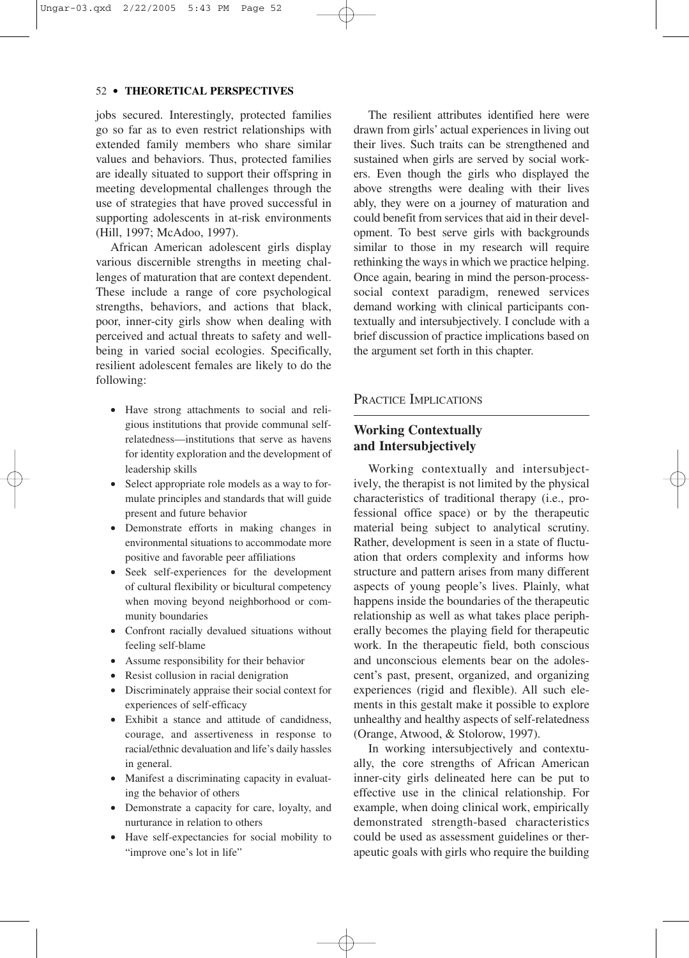jobs secured. Interestingly, protected families go so far as to even restrict relationships with extended family members who share similar values and behaviors. Thus, protected families are ideally situated to support their offspring in meeting developmental challenges through the use of strategies that have proved successful in supporting adolescents in at-risk environments (Hill, 1997; McAdoo, 1997).

African American adolescent girls display various discernible strengths in meeting challenges of maturation that are context dependent. These include a range of core psychological strengths, behaviors, and actions that black, poor, inner-city girls show when dealing with perceived and actual threats to safety and wellbeing in varied social ecologies. Specifically, resilient adolescent females are likely to do the following:

- Have strong attachments to social and religious institutions that provide communal selfrelatedness—institutions that serve as havens for identity exploration and the development of leadership skills
- Select appropriate role models as a way to formulate principles and standards that will guide present and future behavior
- Demonstrate efforts in making changes in environmental situations to accommodate more positive and favorable peer affiliations
- Seek self-experiences for the development of cultural flexibility or bicultural competency when moving beyond neighborhood or community boundaries
- Confront racially devalued situations without feeling self-blame
- Assume responsibility for their behavior
- Resist collusion in racial denigration
- Discriminately appraise their social context for experiences of self-efficacy
- Exhibit a stance and attitude of candidness, courage, and assertiveness in response to racial/ethnic devaluation and life's daily hassles in general.
- Manifest a discriminating capacity in evaluating the behavior of others
- Demonstrate a capacity for care, loyalty, and nurturance in relation to others
- Have self-expectancies for social mobility to "improve one's lot in life"

The resilient attributes identified here were drawn from girls' actual experiences in living out their lives. Such traits can be strengthened and sustained when girls are served by social workers. Even though the girls who displayed the above strengths were dealing with their lives ably, they were on a journey of maturation and could benefit from services that aid in their development. To best serve girls with backgrounds similar to those in my research will require rethinking the ways in which we practice helping. Once again, bearing in mind the person-processsocial context paradigm, renewed services demand working with clinical participants contextually and intersubjectively. I conclude with a brief discussion of practice implications based on the argument set forth in this chapter.

#### PRACTICE IMPLICATIONS

#### **Working Contextually and Intersubjectively**

Working contextually and intersubjectively, the therapist is not limited by the physical characteristics of traditional therapy (i.e., professional office space) or by the therapeutic material being subject to analytical scrutiny. Rather, development is seen in a state of fluctuation that orders complexity and informs how structure and pattern arises from many different aspects of young people's lives. Plainly, what happens inside the boundaries of the therapeutic relationship as well as what takes place peripherally becomes the playing field for therapeutic work. In the therapeutic field, both conscious and unconscious elements bear on the adolescent's past, present, organized, and organizing experiences (rigid and flexible). All such elements in this gestalt make it possible to explore unhealthy and healthy aspects of self-relatedness (Orange, Atwood, & Stolorow, 1997).

In working intersubjectively and contextually, the core strengths of African American inner-city girls delineated here can be put to effective use in the clinical relationship. For example, when doing clinical work, empirically demonstrated strength-based characteristics could be used as assessment guidelines or therapeutic goals with girls who require the building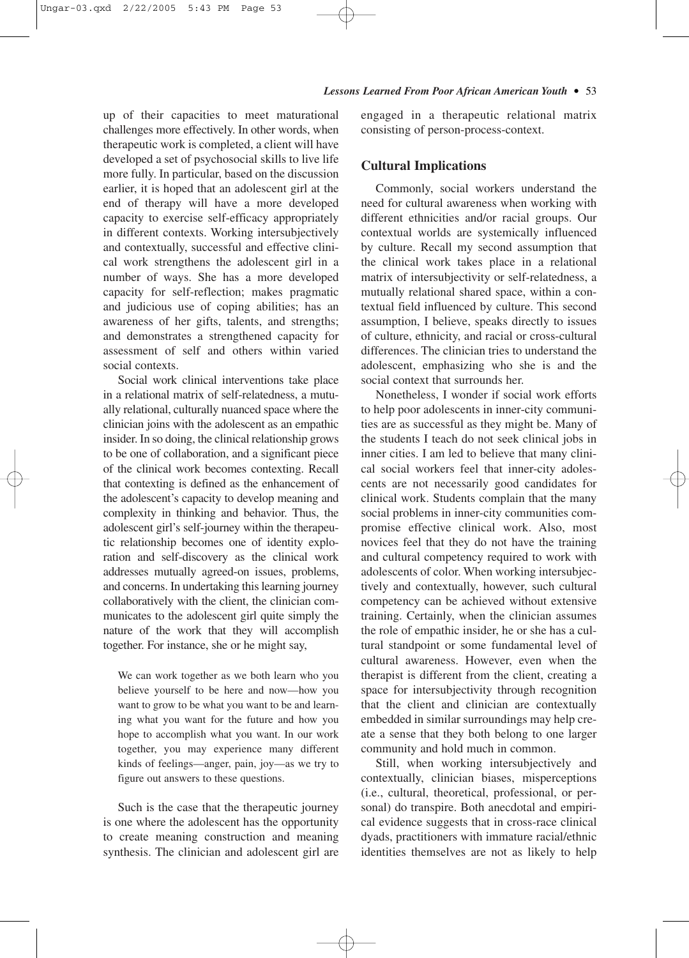up of their capacities to meet maturational challenges more effectively. In other words, when therapeutic work is completed, a client will have developed a set of psychosocial skills to live life more fully. In particular, based on the discussion earlier, it is hoped that an adolescent girl at the end of therapy will have a more developed capacity to exercise self-efficacy appropriately in different contexts. Working intersubjectively and contextually, successful and effective clinical work strengthens the adolescent girl in a number of ways. She has a more developed capacity for self-reflection; makes pragmatic and judicious use of coping abilities; has an awareness of her gifts, talents, and strengths; and demonstrates a strengthened capacity for assessment of self and others within varied social contexts.

Social work clinical interventions take place in a relational matrix of self-relatedness, a mutually relational, culturally nuanced space where the clinician joins with the adolescent as an empathic insider. In so doing, the clinical relationship grows to be one of collaboration, and a significant piece of the clinical work becomes contexting. Recall that contexting is defined as the enhancement of the adolescent's capacity to develop meaning and complexity in thinking and behavior. Thus, the adolescent girl's self-journey within the therapeutic relationship becomes one of identity exploration and self-discovery as the clinical work addresses mutually agreed-on issues, problems, and concerns. In undertaking this learning journey collaboratively with the client, the clinician communicates to the adolescent girl quite simply the nature of the work that they will accomplish together. For instance, she or he might say,

We can work together as we both learn who you believe yourself to be here and now—how you want to grow to be what you want to be and learning what you want for the future and how you hope to accomplish what you want. In our work together, you may experience many different kinds of feelings—anger, pain, joy—as we try to figure out answers to these questions.

Such is the case that the therapeutic journey is one where the adolescent has the opportunity to create meaning construction and meaning synthesis. The clinician and adolescent girl are

#### *Lessons Learned From Poor African American Youth*–•–53

engaged in a therapeutic relational matrix consisting of person-process-context.

#### **Cultural Implications**

Commonly, social workers understand the need for cultural awareness when working with different ethnicities and/or racial groups. Our contextual worlds are systemically influenced by culture. Recall my second assumption that the clinical work takes place in a relational matrix of intersubjectivity or self-relatedness, a mutually relational shared space, within a contextual field influenced by culture. This second assumption, I believe, speaks directly to issues of culture, ethnicity, and racial or cross-cultural differences. The clinician tries to understand the adolescent, emphasizing who she is and the social context that surrounds her.

Nonetheless, I wonder if social work efforts to help poor adolescents in inner-city communities are as successful as they might be. Many of the students I teach do not seek clinical jobs in inner cities. I am led to believe that many clinical social workers feel that inner-city adolescents are not necessarily good candidates for clinical work. Students complain that the many social problems in inner-city communities compromise effective clinical work. Also, most novices feel that they do not have the training and cultural competency required to work with adolescents of color. When working intersubjectively and contextually, however, such cultural competency can be achieved without extensive training. Certainly, when the clinician assumes the role of empathic insider, he or she has a cultural standpoint or some fundamental level of cultural awareness. However, even when the therapist is different from the client, creating a space for intersubjectivity through recognition that the client and clinician are contextually embedded in similar surroundings may help create a sense that they both belong to one larger community and hold much in common.

Still, when working intersubjectively and contextually, clinician biases, misperceptions (i.e., cultural, theoretical, professional, or personal) do transpire. Both anecdotal and empirical evidence suggests that in cross-race clinical dyads, practitioners with immature racial/ethnic identities themselves are not as likely to help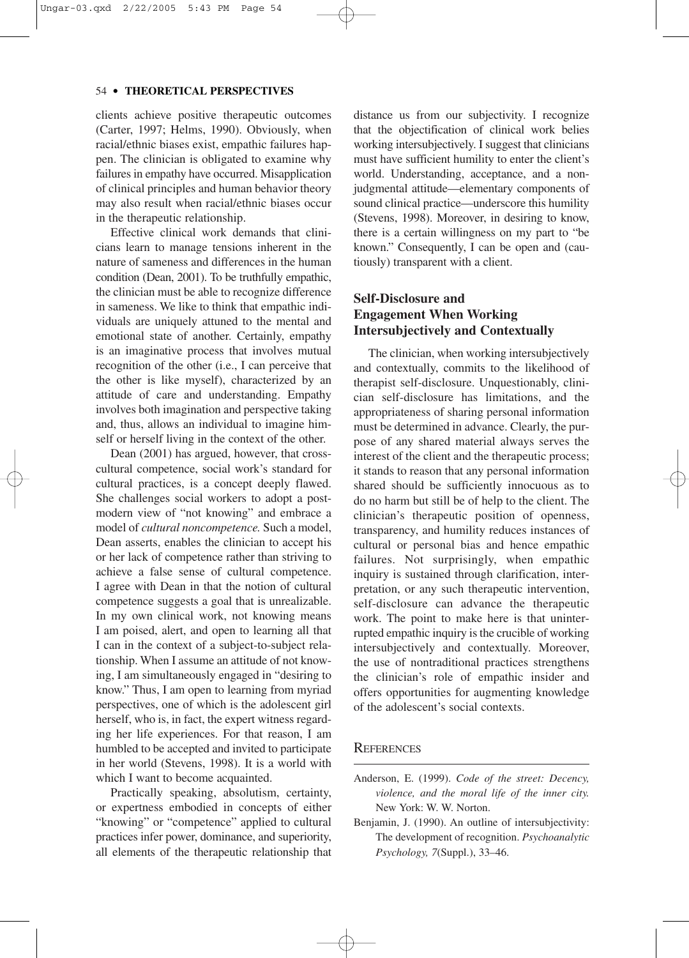clients achieve positive therapeutic outcomes (Carter, 1997; Helms, 1990). Obviously, when racial/ethnic biases exist, empathic failures happen. The clinician is obligated to examine why failures in empathy have occurred. Misapplication of clinical principles and human behavior theory may also result when racial/ethnic biases occur in the therapeutic relationship.

Effective clinical work demands that clinicians learn to manage tensions inherent in the nature of sameness and differences in the human condition (Dean, 2001). To be truthfully empathic, the clinician must be able to recognize difference in sameness. We like to think that empathic individuals are uniquely attuned to the mental and emotional state of another. Certainly, empathy is an imaginative process that involves mutual recognition of the other (i.e., I can perceive that the other is like myself), characterized by an attitude of care and understanding. Empathy involves both imagination and perspective taking and, thus, allows an individual to imagine himself or herself living in the context of the other.

Dean (2001) has argued, however, that crosscultural competence, social work's standard for cultural practices, is a concept deeply flawed. She challenges social workers to adopt a postmodern view of "not knowing" and embrace a model of *cultural noncompetence.* Such a model, Dean asserts, enables the clinician to accept his or her lack of competence rather than striving to achieve a false sense of cultural competence. I agree with Dean in that the notion of cultural competence suggests a goal that is unrealizable. In my own clinical work, not knowing means I am poised, alert, and open to learning all that I can in the context of a subject-to-subject relationship. When I assume an attitude of not knowing, I am simultaneously engaged in "desiring to know." Thus, I am open to learning from myriad perspectives, one of which is the adolescent girl herself, who is, in fact, the expert witness regarding her life experiences. For that reason, I am humbled to be accepted and invited to participate in her world (Stevens, 1998). It is a world with which I want to become acquainted.

Practically speaking, absolutism, certainty, or expertness embodied in concepts of either "knowing" or "competence" applied to cultural practices infer power, dominance, and superiority, all elements of the therapeutic relationship that

distance us from our subjectivity. I recognize that the objectification of clinical work belies working intersubjectively. I suggest that clinicians must have sufficient humility to enter the client's world. Understanding, acceptance, and a nonjudgmental attitude—elementary components of sound clinical practice—underscore this humility (Stevens, 1998). Moreover, in desiring to know, there is a certain willingness on my part to "be known." Consequently, I can be open and (cautiously) transparent with a client.

#### **Self-Disclosure and Engagement When Working Intersubjectively and Contextually**

The clinician, when working intersubjectively and contextually, commits to the likelihood of therapist self-disclosure. Unquestionably, clinician self-disclosure has limitations, and the appropriateness of sharing personal information must be determined in advance. Clearly, the purpose of any shared material always serves the interest of the client and the therapeutic process; it stands to reason that any personal information shared should be sufficiently innocuous as to do no harm but still be of help to the client. The clinician's therapeutic position of openness, transparency, and humility reduces instances of cultural or personal bias and hence empathic failures. Not surprisingly, when empathic inquiry is sustained through clarification, interpretation, or any such therapeutic intervention, self-disclosure can advance the therapeutic work. The point to make here is that uninterrupted empathic inquiry is the crucible of working intersubjectively and contextually. Moreover, the use of nontraditional practices strengthens the clinician's role of empathic insider and offers opportunities for augmenting knowledge of the adolescent's social contexts.

#### **REFERENCES**

- Anderson, E. (1999). *Code of the street: Decency, violence, and the moral life of the inner city.* New York: W. W. Norton.
- Benjamin, J. (1990). An outline of intersubjectivity: The development of recognition. *Psychoanalytic Psychology, 7*(Suppl.), 33–46.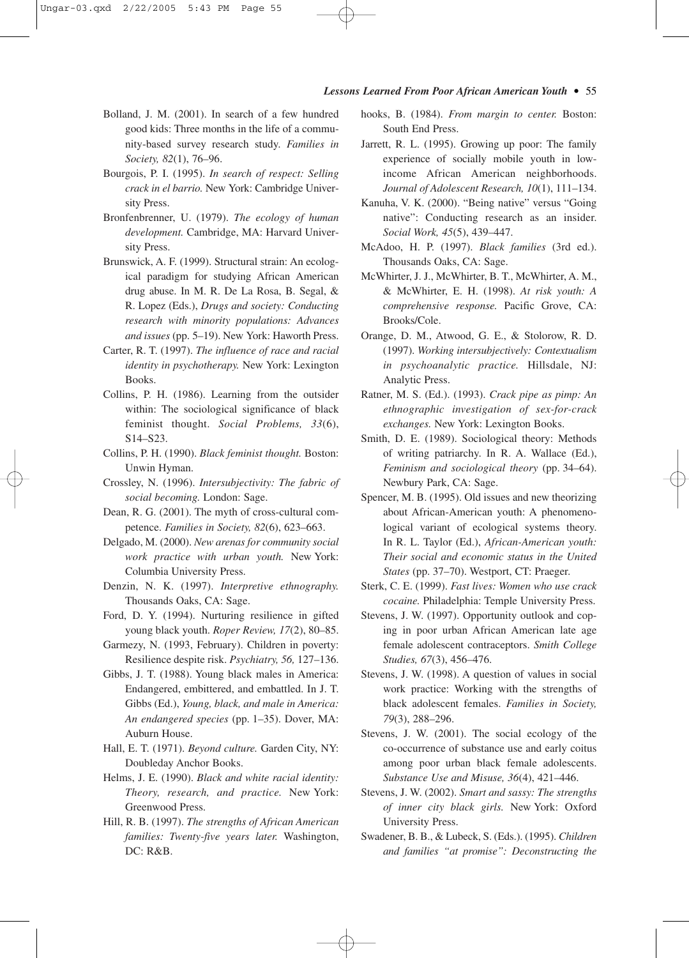- Bolland, J. M. (2001). In search of a few hundred good kids: Three months in the life of a community-based survey research study. *Families in Society, 82*(1), 76–96.
- Bourgois, P. I. (1995). *In search of respect: Selling crack in el barrio.* New York: Cambridge University Press.
- Bronfenbrenner, U. (1979). *The ecology of human development.* Cambridge, MA: Harvard University Press.
- Brunswick, A. F. (1999). Structural strain: An ecological paradigm for studying African American drug abuse. In M. R. De La Rosa, B. Segal, & R. Lopez (Eds.), *Drugs and society: Conducting research with minority populations: Advances and issues* (pp. 5–19). New York: Haworth Press.
- Carter, R. T. (1997). *The influence of race and racial identity in psychotherapy.* New York: Lexington Books.
- Collins, P. H. (1986). Learning from the outsider within: The sociological significance of black feminist thought. *Social Problems, 33*(6), S14–S23.
- Collins, P. H. (1990). *Black feminist thought.* Boston: Unwin Hyman.
- Crossley, N. (1996). *Intersubjectivity: The fabric of social becoming.* London: Sage.
- Dean, R. G. (2001). The myth of cross-cultural competence. *Families in Society, 82*(6), 623–663.
- Delgado, M. (2000). *New arenas for community social work practice with urban youth.* New York: Columbia University Press.
- Denzin, N. K. (1997). *Interpretive ethnography.* Thousands Oaks, CA: Sage.
- Ford, D. Y. (1994). Nurturing resilience in gifted young black youth. *Roper Review, 17*(2), 80–85.
- Garmezy, N. (1993, February). Children in poverty: Resilience despite risk. *Psychiatry, 56,* 127–136.
- Gibbs, J. T. (1988). Young black males in America: Endangered, embittered, and embattled. In J. T. Gibbs (Ed.), *Young, black, and male in America: An endangered species* (pp. 1–35). Dover, MA: Auburn House.
- Hall, E. T. (1971). *Beyond culture.* Garden City, NY: Doubleday Anchor Books.
- Helms, J. E. (1990). *Black and white racial identity: Theory, research, and practice.* New York: Greenwood Press.
- Hill, R. B. (1997). *The strengths of African American families: Twenty-five years later.* Washington, DC: R&B.
- hooks, B. (1984). *From margin to center.* Boston: South End Press.
- Jarrett, R. L. (1995). Growing up poor: The family experience of socially mobile youth in lowincome African American neighborhoods. *Journal of Adolescent Research, 10*(1), 111–134.
- Kanuha, V. K. (2000). "Being native" versus "Going native": Conducting research as an insider. *Social Work, 45*(5), 439–447.
- McAdoo, H. P. (1997). *Black families* (3rd ed.). Thousands Oaks, CA: Sage.
- McWhirter, J. J., McWhirter, B. T., McWhirter, A. M., & McWhirter, E. H. (1998). *At risk youth: A comprehensive response.* Pacific Grove, CA: Brooks/Cole.
- Orange, D. M., Atwood, G. E., & Stolorow, R. D. (1997). *Working intersubjectively: Contextualism in psychoanalytic practice.* Hillsdale, NJ: Analytic Press.
- Ratner, M. S. (Ed.). (1993). *Crack pipe as pimp: An ethnographic investigation of sex-for-crack exchanges.* New York: Lexington Books.
- Smith, D. E. (1989). Sociological theory: Methods of writing patriarchy. In R. A. Wallace (Ed.), *Feminism and sociological theory* (pp. 34–64). Newbury Park, CA: Sage.
- Spencer, M. B. (1995). Old issues and new theorizing about African-American youth: A phenomenological variant of ecological systems theory. In R. L. Taylor (Ed.), *African-American youth: Their social and economic status in the United States* (pp. 37–70). Westport, CT: Praeger.
- Sterk, C. E. (1999). *Fast lives: Women who use crack cocaine.* Philadelphia: Temple University Press.
- Stevens, J. W. (1997). Opportunity outlook and coping in poor urban African American late age female adolescent contraceptors. *Smith College Studies, 67*(3), 456–476.
- Stevens, J. W. (1998). A question of values in social work practice: Working with the strengths of black adolescent females. *Families in Society, 79*(3), 288–296.
- Stevens, J. W. (2001). The social ecology of the co-occurrence of substance use and early coitus among poor urban black female adolescents. *Substance Use and Misuse, 36*(4), 421–446.
- Stevens, J. W. (2002). *Smart and sassy: The strengths of inner city black girls.* New York: Oxford University Press.
- Swadener, B. B., & Lubeck, S. (Eds.). (1995). *Children and families "at promise": Deconstructing the*